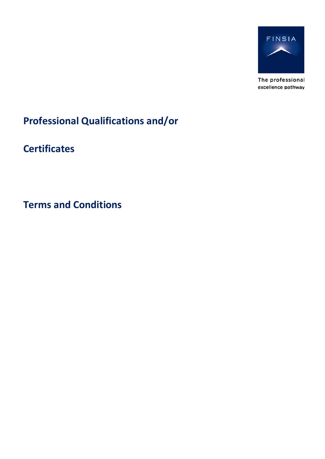

The professional excellence pathway

**Professional Qualifications and/or**

**Certificates**

**Terms and Conditions**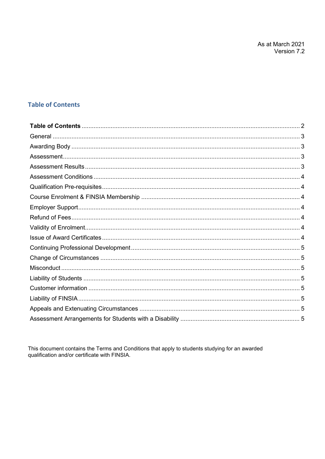# <span id="page-1-0"></span>**Table of Contents**

This document contains the Terms and Conditions that apply to students studying for an awarded qualification and/or certificate with FINSIA.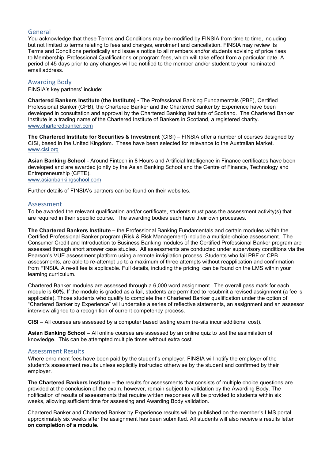# <span id="page-2-0"></span>General

You acknowledge that these Terms and Conditions may be modified by FINSIA from time to time, including but not limited to terms relating to fees and charges, enrolment and cancellation. FINSIA may review its Terms and Conditions periodically and issue a notice to all members and/or students advising of price rises to Membership, Professional Qualifications or program fees, which will take effect from a particular date. A period of 45 days prior to any changes will be notified to the member and/or student to your nominated email address.

# <span id="page-2-1"></span>Awarding Body

FINSIA's key partners' include:

**Chartered Bankers Institute (the Institute) -** The Professional Banking Fundamentals (PBF), Certified Professional Banker (CPB), the Chartered Banker and the Chartered Banker by Experience have been developed in consultation and approval by the Chartered Banking Institute of Scotland. The Chartered Banker Institute is a trading name of the Chartered Institute of Bankers in Scotland, a registered charity. [www.charteredbanker.com](http://www.charteredbanker.com/)

**The Chartered Institute for Securities & Investment** (CISI) – FINSIA offer a number of courses designed by CISI, based in the United Kingdom. These have been selected for relevance to the Australian Market. [www.cisi.org](http://www.cisi.org/)

**Asian Banking School** - Around Fintech in 8 Hours and Artificial Intelligence in Finance certificates have been developed and are awarded jointly by the Asian Banking School and the Centre of Finance, Technology and Entrepreneurship (CFTE). [www.asianbankingschool.com](http://www.asianbankingschool.com/)

Further details of FINSIA's partners can be found on their websites.

#### <span id="page-2-2"></span>Assessment

To be awarded the relevant qualification and/or certificate, students must pass the assessment activity(s) that are required in their specific course. The awarding bodies each have their own processes.

**The Chartered Bankers Institute –** the Professional Banking Fundamentals and certain modules within the Certified Professional Banker program (Risk & Risk Management) include a multiple-choice assessment. The Consumer Credit and Introduction to Business Banking modules of the Certified Professional Banker program are assessed through short answer case studies. All assessments are conducted under supervisory conditions via the Pearson's VUE assessment platform using a remote invigilation process. Students who fail PBF or CPB assessments, are able to re-attempt up to a maximum of three attempts without reapplication and confirmation from FINSIA. A re-sit fee is applicable. Full details, including the pricing, can be found on the LMS within your learning curriculum.

Chartered Banker modules are assessed through a 6,000 word assignment. The overall pass mark for each module is **60%**. If the module is graded as a fail, students are permitted to resubmit a revised assignment (a fee is applicable). Those students who qualify to complete their Chartered Banker qualification under the option of "Chartered Banker by Experience" will undertake a series of reflective statements, an assignment and an assessor interview aligned to a recognition of current competency process.

**CISI** – All courses are assessed by a computer based testing exam (re-sits incur additional cost).

**Asian Banking School –** All online courses are assessed by an online quiz to test the assimilation of knowledge. This can be attempted multiple times without extra cost.

# <span id="page-2-3"></span>Assessment Results

Where enrolment fees have been paid by the student's employer, FINSIA will notify the employer of the student's assessment results unless explicitly instructed otherwise by the student and confirmed by their employer.

**The Chartered Bankers Institute –** the results for assessments that consists of multiple choice questions are provided at the conclusion of the exam, however, remain subject to validation by the Awarding Body. The notification of results of assessments that require written responses will be provided to students within six weeks, allowing sufficient time for assessing and Awarding Body validation.

Chartered Banker and Chartered Banker by Experience results will be published on the member's LMS portal approximately six weeks after the assignment has been submitted. All students will also receive a results letter **on completion of a module.**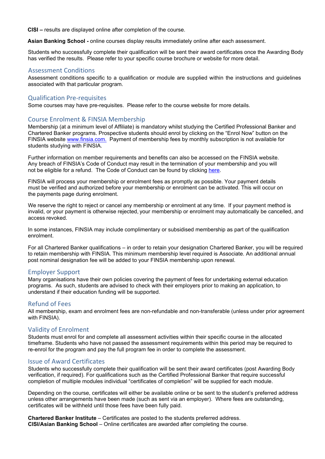**CISI –** results are displayed online after completion of the course.

**Asian Banking School -** online courses display results immediately online after each assessment.

Students who successfully complete their qualification will be sent their award certificates once the Awarding Body has verified the results. Please refer to your specific course brochure or website for more detail.

## <span id="page-3-0"></span>Assessment Conditions

Assessment conditions specific to a qualification or module are supplied within the instructions and guidelines associated with that particular program.

#### <span id="page-3-1"></span>Qualification Pre-requisites

Some courses may have pre-requisites. Please refer to the course website for more details.

# <span id="page-3-2"></span>Course Enrolment & FINSIA Membership

Membership (at a minimum level of Affiliate) is mandatory whilst studying the Certified Professional Banker and Chartered Banker programs. Prospective students should enrol by clicking on the "Enrol Now" button on the FINSIA website [www.finsia.com.](http://www.finsia.com/) Payment of membership fees by monthly subscription is not available for students studying with FINSIA.

Further information on member requirements and benefits can also be accessed on the FINSIA website. Any breach of FINSIA's Code of Conduct may result in the termination of your membership and you will not be eligible for a refund. The Code of Conduct can be found by clicking [here.](https://www.finsia.com/sites/default/files/2020-05/FINSIA%20Code%20of%20Conduct.pdf)

FINSIA will process your membership or enrolment fees as promptly as possible. Your payment details must be verified and authorized before your membership or enrolment can be activated. This will occur on the payments page during enrolment.

We reserve the right to reject or cancel any membership or enrolment at any time. If your payment method is invalid, or your payment is otherwise rejected, your membership or enrolment may automatically be cancelled, and access revoked.

In some instances, FINSIA may include complimentary or subsidised membership as part of the qualification enrolment.

For all Chartered Banker qualifications – in order to retain your designation Chartered Banker, you will be required to retain membership with FINSIA. This minimum membership level required is Associate. An additional annual post nominal designation fee will be added to your FINSIA membership upon renewal.

#### <span id="page-3-3"></span>Employer Support

Many organisations have their own policies covering the payment of fees for undertaking external education programs. As such, students are advised to check with their employers prior to making an application, to understand if their education funding will be supported.

#### <span id="page-3-4"></span>Refund of Fees

All membership, exam and enrolment fees are non-refundable and non-transferable (unless under prior agreement with FINSIA).

#### <span id="page-3-5"></span>Validity of Enrolment

Students must enrol for and complete all assessment activities within their specific course in the allocated timeframe. Students who have not passed the assessment requirements within this period may be required to re-enrol for the program and pay the full program fee in order to complete the assessment.

#### <span id="page-3-6"></span>Issue of Award Certificates

Students who successfully complete their qualification will be sent their award certificates (post Awarding Body verification, if required). For qualifications such as the Certified Professional Banker that require successful completion of multiple modules individual "certificates of completion" will be supplied for each module.

Depending on the course, certificates will either be available online or be sent to the student's preferred address unless other arrangements have been made (such as sent via an employer). Where fees are outstanding, certificates will be withheld until those fees have been fully paid.

**Chartered Banker Institute** – Certificates are posted to the students preferred address. **CISI/Asian Banking School** – Online certificates are awarded after completing the course.